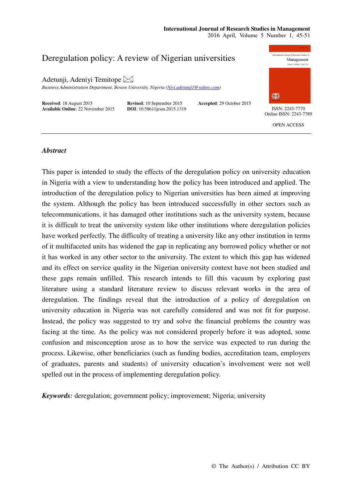# **International Journal of Research Studies in Management**

2016 April, Volume 5 Number 1, 45-51



## *Abstract*

This paper is intended to study the effects of the deregulation policy on university education in Nigeria with a view to understanding how the policy has been introduced and applied. The introduction of the deregulation policy to Nigerian universities has been aimed at improving the system. Although the policy has been introduced successfully in other sectors such as telecommunications, it has damaged other institutions such as the university system, because it is difficult to treat the university system like other institutions where deregulation policies have worked perfectly. The difficulty of treating a university like any other institution in terms of it multifaceted units has widened the gap in replicating any borrowed policy whether or not it has worked in any other sector to the university. The extent to which this gap has widened and its effect on service quality in the Nigerian university context have not been studied and these gaps remain unfilled. This research intends to fill this vacuum by exploring past literature using a standard literature review to discuss relevant works in the area of deregulation. The findings reveal that the introduction of a policy of deregulation on university education in Nigeria was not carefully considered and was not fit for purpose. Instead, the policy was suggested to try and solve the financial problems the country was facing at the time. As the policy was not considered properly before it was adopted, some confusion and misconception arose as to how the service was expected to run during the process. Likewise, other beneficiaries (such as funding bodies, accreditation team, employers of graduates, parents and students) of university education's involvement were not well spelled out in the process of implementing deregulation policy.

*Keywords:* deregulation; government policy; improvement; Nigeria; university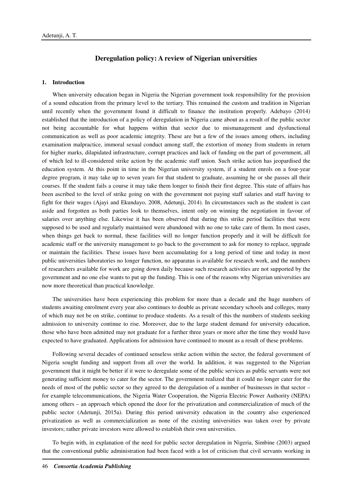## **Deregulation policy: A review of Nigerian universities**

### **1. Introduction**

When university education began in Nigeria the Nigerian government took responsibility for the provision of a sound education from the primary level to the tertiary. This remained the custom and tradition in Nigerian until recently when the government found it difficult to finance the institution properly. Adebayo (2014) established that the introduction of a policy of deregulation in Nigeria came about as a result of the public sector not being accountable for what happens within that sector due to mismanagement and dysfunctional communication as well as poor academic integrity. These are but a few of the issues among others, including examination malpractice, immoral sexual conduct among staff, the extortion of money from students in return for higher marks, dilapidated infrastructure, corrupt practices and lack of funding on the part of government, all of which led to ill-considered strike action by the academic staff union. Such strike action has jeopardised the education system. At this point in time in the Nigerian university system, if a student enrols on a four-year degree program, it may take up to seven years for that student to graduate, assuming he or she passes all their courses. If the student fails a course it may take them longer to finish their first degree. This state of affairs has been ascribed to the level of strike going on with the government not paying staff salaries and staff having to fight for their wages (Ajayi and Ekundayo, 2008, Adetunji, 2014). In circumstances such as the student is cast aside and forgotten as both parties look to themselves, intent only on winning the negotiation in favour of salaries over anything else. Likewise it has been observed that during this strike period facilities that were supposed to be used and regularly maintained were abandoned with no one to take care of them. In most cases, when things get back to normal, these facilities will no longer function properly and it will be difficult for academic staff or the university management to go back to the government to ask for money to replace, upgrade or maintain the facilities. These issues have been accumulating for a long period of time and today in most public universities laboratories no longer function, no apparatus is available for research work, and the numbers of researchers available for work are going down daily because such research activities are not supported by the government and no one else wants to put up the funding. This is one of the reasons why Nigerian universities are now more theoretical than practical knowledge.

The universities have been experiencing this problem for more than a decade and the huge numbers of students awaiting enrolment every year also continues to double as private secondary schools and colleges, many of which may not be on strike, continue to produce students. As a result of this the numbers of students seeking admission to university continue to rise. Moreover, due to the large student demand for university education, those who have been admitted may not graduate for a further three years or more after the time they would have expected to have graduated. Applications for admission have continued to mount as a result of these problems.

Following several decades of continued senseless strike action within the sector, the federal government of Nigeria sought funding and support from all over the world. In addition, it was suggested to the Nigerian government that it might be better if it were to deregulate some of the public services as public servants were not generating sufficient money to cater for the sector. The government realized that it could no longer cater for the needs of most of the public sector so they agreed to the deregulation of a number of businesses in that sector – for example telecommunications, the Nigeria Water Cooperation, the Nigeria Electric Power Authority (NEPA) among others – an approach which opened the door for the privatization and commercialization of much of the public sector (Adetunji, 2015a). During this period university education in the country also experienced privatization as well as commercialization as none of the existing universities was taken over by private investors; rather private investors were allowed to establish their own universities.

To begin with, in explanation of the need for public sector deregulation in Nigeria, Simbine (2003) argued that the conventional public administration had been faced with a lot of criticism that civil servants working in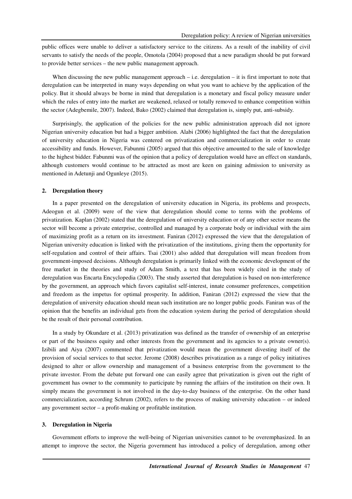public offices were unable to deliver a satisfactory service to the citizens. As a result of the inability of civil servants to satisfy the needs of the people, Omotola (2004) proposed that a new paradigm should be put forward to provide better services – the new public management approach.

When discussing the new public management approach – i.e. deregulation – it is first important to note that deregulation can be interpreted in many ways depending on what you want to achieve by the application of the policy. But it should always be borne in mind that deregulation is a monetary and fiscal policy measure under which the rules of entry into the market are weakened, relaxed or totally removed to enhance competition within the sector (Adegbemile, 2007). Indeed, Bako (2002) claimed that deregulation is, simply put, anti-subsidy.

Surprisingly, the application of the policies for the new public administration approach did not ignore Nigerian university education but had a bigger ambition. Alabi (2006) highlighted the fact that the deregulation of university education in Nigeria was centered on privatization and commercialization in order to create accessibility and funds. However, Fabunmi (2005) argued that this objective amounted to the sale of knowledge to the highest bidder. Fabunmi was of the opinion that a policy of deregulation would have an effect on standards, although customers would continue to be attracted as most are keen on gaining admission to university as mentioned in Adetunji and Ogunleye (2015).

#### **2. Deregulation theory**

In a paper presented on the deregulation of university education in Nigeria, its problems and prospects, Adeogun et al. (2009) were of the view that deregulation should come to terms with the problems of privatization. Kaplan (2002) stated that the deregulation of university education or of any other sector means the sector will become a private enterprise, controlled and managed by a corporate body or individual with the aim of maximizing profit as a return on its investment. Faniran (2012) expressed the view that the deregulation of Nigerian university education is linked with the privatization of the institutions, giving them the opportunity for self-regulation and control of their affairs. Tsai (2001) also added that deregulation will mean freedom from government-imposed decisions. Although deregulation is primarily linked with the economic development of the free market in the theories and study of Adam Smith, a text that has been widely cited in the study of deregulation was Encarta Encyclopedia (2003). The study asserted that deregulation is based on non-interference by the government, an approach which favors capitalist self-interest, innate consumer preferences, competition and freedom as the impetus for optimal prosperity. In addition, Faniran (2012) expressed the view that the deregulation of university education should mean such institution are no longer public goods. Faniran was of the opinion that the benefits an individual gets from the education system during the period of deregulation should be the result of their personal contribution.

In a study by Okundare et al. (2013) privatization was defined as the transfer of ownership of an enterprise or part of the business equity and other interests from the government and its agencies to a private owner(s). Izibili and Aiya (2007) commented that privatization would mean the government divesting itself of the provision of social services to that sector. Jerome (2008) describes privatization as a range of policy initiatives designed to alter or allow ownership and management of a business enterprise from the government to the private investor. From the debate put forward one can easily agree that privatization is given out the right of government has owner to the community to participate by running the affairs of the institution on their own. It simply means the government is not involved in the day-to-day business of the enterprise. On the other hand commercialization, according Schrum (2002), refers to the process of making university education – or indeed any government sector – a profit-making or profitable institution.

#### **3. Deregulation in Nigeria**

Government efforts to improve the well-being of Nigerian universities cannot to be overemphasized. In an attempt to improve the sector, the Nigeria government has introduced a policy of deregulation, among other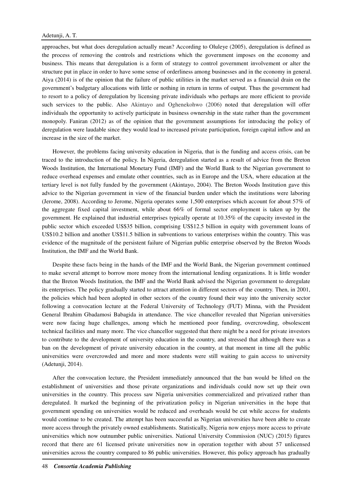approaches, but what does deregulation actually mean? According to Oluleye (2005), deregulation is defined as the process of removing the controls and restrictions which the government imposes on the economy and business. This means that deregulation is a form of strategy to control government involvement or alter the structure put in place in order to have some sense of orderliness among businesses and in the economy in general. Aiya (2014) is of the opinion that the failure of public utilities in the market served as a financial drain on the government's budgetary allocations with little or nothing in return in terms of output. Thus the government had to resort to a policy of deregulation by licensing private individuals who perhaps are more efficient to provide such services to the public. Also Akintayo and Oghenekohwo (2006) noted that deregulation will offer individuals the opportunity to actively participate in business ownership in the state rather than the government monopoly. Faniran (2012) as of the opinion that the government assumptions for introducing the policy of deregulation were laudable since they would lead to increased private participation, foreign capital inflow and an increase in the size of the market.

However, the problems facing university education in Nigeria, that is the funding and access crisis, can be traced to the introduction of the policy. In Nigeria, deregulation started as a result of advice from the Breton Woods Institution, the International Monetary Fund (IMF) and the World Bank to the Nigerian government to reduce overhead expenses and emulate other countries, such as in Europe and the USA, where education at the tertiary level is not fully funded by the government (Akintayo, 2004). The Breton Woods Institution gave this advice to the Nigerian government in view of the financial burden under which the institutions were laboring (Jerome, 2008). According to Jerome, Nigeria operates some 1,500 enterprises which account for about 57% of the aggregate fixed capital investment, while about 66% of formal sector employment is taken up by the government. He explained that industrial enterprises typically operate at 10.35% of the capacity invested in the public sector which exceeded US\$35 billion, comprising US\$12.5 billion in equity with government loans of US\$10.2 billion and another US\$11.5 billion in subventions to various enterprises within the country. This was evidence of the magnitude of the persistent failure of Nigerian public enterprise observed by the Breton Woods Institution, the IMF and the World Bank.

Despite these facts being in the hands of the IMF and the World Bank, the Nigerian government continued to make several attempt to borrow more money from the international lending organizations. It is little wonder that the Breton Woods Institution, the IMF and the World Bank advised the Nigerian government to deregulate its enterprises. The policy gradually started to attract attention in different sectors of the country. Then, in 2001, the policies which had been adopted in other sectors of the country found their way into the university sector following a convocation lecture at the Federal University of Technology (FUT) Minna, with the President General Ibrahim Gbadamosi Babagida in attendance. The vice chancellor revealed that Nigerian universities were now facing huge challenges, among which he mentioned poor funding, overcrowding, obsolescent technical facilities and many more. The vice chancellor suggested that there might be a need for private investors to contribute to the development of university education in the country, and stressed that although there was a ban on the development of private university education in the country, at that moment in time all the public universities were overcrowded and more and more students were still waiting to gain access to university (Adetunji, 2014).

After the convocation lecture, the President immediately announced that the ban would be lifted on the establishment of universities and those private organizations and individuals could now set up their own universities in the country. This process saw Nigeria universities commercialized and privatized rather than deregulated. It marked the beginning of the privatization policy in Nigerian universities in the hope that government spending on universities would be reduced and overheads would be cut while access for students would continue to be created. The attempt has been successful as Nigerian universities have been able to create more access through the privately owned establishments. Statistically, Nigeria now enjoys more access to private universities which now outnumber public universities. National University Commission (NUC) (2015) figures record that there are 61 licensed private universities now in operation together with about 57 unlicensed universities across the country compared to 86 public universities. However, this policy approach has gradually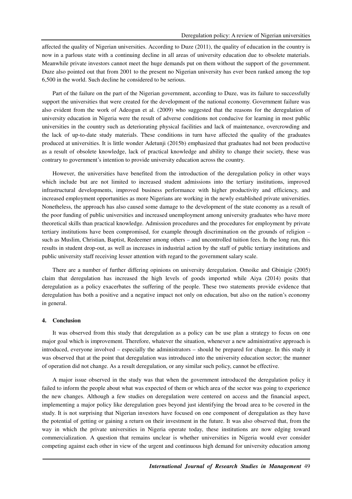affected the quality of Nigerian universities. According to Duze (2011), the quality of education in the country is now in a parlous state with a continuing decline in all areas of university education due to obsolete materials. Meanwhile private investors cannot meet the huge demands put on them without the support of the government. Duze also pointed out that from 2001 to the present no Nigerian university has ever been ranked among the top 6,500 in the world. Such decline he considered to be serious.

Part of the failure on the part of the Nigerian government, according to Duze, was its failure to successfully support the universities that were created for the development of the national economy. Government failure was also evident from the work of Adeogun et al. (2009) who suggested that the reasons for the deregulation of university education in Nigeria were the result of adverse conditions not conducive for learning in most public universities in the country such as deteriorating physical facilities and lack of maintenance, overcrowding and the lack of up-to-date study materials. These conditions in turn have affected the quality of the graduates produced at universities. It is little wonder Adetunji (2015b) emphasized that graduates had not been productive as a result of obsolete knowledge, lack of practical knowledge and ability to change their society, these was contrary to government's intention to provide university education across the country.

However, the universities have benefited from the introduction of the deregulation policy in other ways which include but are not limited to increased student admissions into the tertiary institutions, improved infrastructural developments, improved business performance with higher productivity and efficiency, and increased employment opportunities as more Nigerians are working in the newly established private universities. Nonetheless, the approach has also caused some damage to the development of the state economy as a result of the poor funding of public universities and increased unemployment among university graduates who have more theoretical skills than practical knowledge. Admission procedures and the procedures for employment by private tertiary institutions have been compromised, for example through discrimination on the grounds of religion – such as Muslim, Christian, Baptist, Redeemer among others – and uncontrolled tuition fees. In the long run, this results in student drop-out, as well as increases in industrial action by the staff of public tertiary institutions and public university staff receiving lesser attention with regard to the government salary scale.

There are a number of further differing opinions on university deregulation. Omoike and Gbinigie (2005) claim that deregulation has increased the high levels of goods imported while Aiya (2014) posits that deregulation as a policy exacerbates the suffering of the people. These two statements provide evidence that deregulation has both a positive and a negative impact not only on education, but also on the nation's economy in general.

#### **4. Conclusion**

It was observed from this study that deregulation as a policy can be use plan a strategy to focus on one major goal which is improvement. Therefore, whatever the situation, whenever a new administrative approach is introduced, everyone involved – especially the administrators – should be prepared for change. In this study it was observed that at the point that deregulation was introduced into the university education sector; the manner of operation did not change. As a result deregulation, or any similar such policy, cannot be effective.

A major issue observed in the study was that when the government introduced the deregulation policy it failed to inform the people about what was expected of them or which area of the sector was going to experience the new changes. Although a few studies on deregulation were centered on access and the financial aspect, implementing a major policy like deregulation goes beyond just identifying the broad area to be covered in the study. It is not surprising that Nigerian investors have focused on one component of deregulation as they have the potential of getting or gaining a return on their investment in the future. It was also observed that, from the way in which the private universities in Nigeria operate today, these institutions are now edging toward commercialization. A question that remains unclear is whether universities in Nigeria would ever consider competing against each other in view of the urgent and continuous high demand for university education among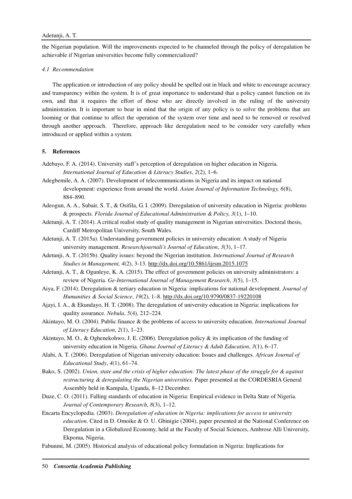the Nigerian population. Will the improvements expected to be channeled through the policy of deregulation be achievable if Nigerian universities become fully commercialized?

### *4.1 Recommendation*

The application or introduction of any policy should be spelled out in black and white to encourage accuracy and transparency within the system. It is of great importance to understand that a policy cannot function on its own, and that it requires the effort of those who are directly involved in the ruling of the university administration. It is important to bear in mind that the origin of any policy is to solve the problems that are looming or that continue to affect the operation of the system over time and need to be removed or resolved through another approach. Therefore, approach like deregulation need to be consider very carefully when introduced or applied within a system.

## **5. References**

- Adebayo, F. A. (2014). University staff's perception of deregulation on higher education in Nigeria. *International Journal of Education & Literacy Studies*, *2*(2), 1–6.
- Adegbemile, A. A. (2007). Development of telecommunications in Nigeria and its impact on national development: experience from around the world. *Asian Journal of Information Technology, 6*(8), 884–890.
- Adeogun, A. A., Subair, S. T., & Osifila, G. I. (2009). Deregulation of university education in Nigeria: problems & prospects. *Florida Journal of Educational Administration & Policy, 3*(1), 1–10.
- Adetunji, A. T. (2014). A critical realist study of quality management in Nigerian universities. Doctoral thesis, Cardiff Metropolitan University, South Wales.
- Adetunji, A. T. (2015a). Understanding government policies in university education: A study of Nigeria university management. *Researchjournali's Journal of Education*, *3*(3), 1–17.
- Adetunji, A. T. (2015b). Quality issues: beyond the Nigerian institution. *International Journal of Research Studies in Management, 4*(2), 3-13. http://dx.doi.org/10.5861/ijrsm.2015.1075
- Adetunji, A. T., & Ogunleye, K. A. (2015). The effect of government policies on university administrators: a review of Nigeria. *Ge-International Journal of Management Research*, *3*(5), 1–15.
- Aiya, F. (2014). Deregulation & tertiary education in Nigeria: implications for national development. *Journal of Humanities & Social Science*, *19*(2), 1–8. http://dx.doi.org/10.9790/0837-19220108
- Ajayi, I. A., & Ekundayo, H. T. (2008). The deregulation of university education in Nigeria: implications for quality assurance. *Nebula*, *5*(4), 212–224.
- Akintayo, M. O. (2004). Public finance & the problems of access to university education. *International Journal of Literacy Education*, *2*(1), 1–23.
- Akintayo, M. O., & Oghenekohwo, J. E. (2006). Deregulation policy & its implication of the funding of university education in Nigeria. *Ghana Journal of Literacy & Adult Education*, *3*(1), 6–17.
- Alabi, A. T. (2006). Deregulation of Nigerian university education: Issues and challenges. *African Journal of Educational Study*, *4*(1), 61–74.
- Bako, S. (2002). *Union, state and the crisis of higher education: The latest phase of the struggle for & against restructuring & deregulating the Nigerian universities*. Paper presented at the CORDESRIA General Assembly held in Kampala, Uganda, 8–12 December.
- Duze, C. O. (2011). Falling standards of education in Nigeria: Empirical evidence in Delta State of Nigeria. *Journal of Contemporary Research*, *8*(3), 1–12.
- Encarta Encyclopedia. (2003). *Deregulation of education in Nigeria: implications for access to university education*. Cited in D. Omoike & O. U. Gbinigie (2004), paper presented at the National Conference on Deregulation in a Globalized Economy, held at the Faculty of Social Sciences, Ambrose Alli University, Ekpoma, Nigeria.
- Fabunmi, M. (2005). Historical analysis of educational policy formulation in Nigeria: Implications for